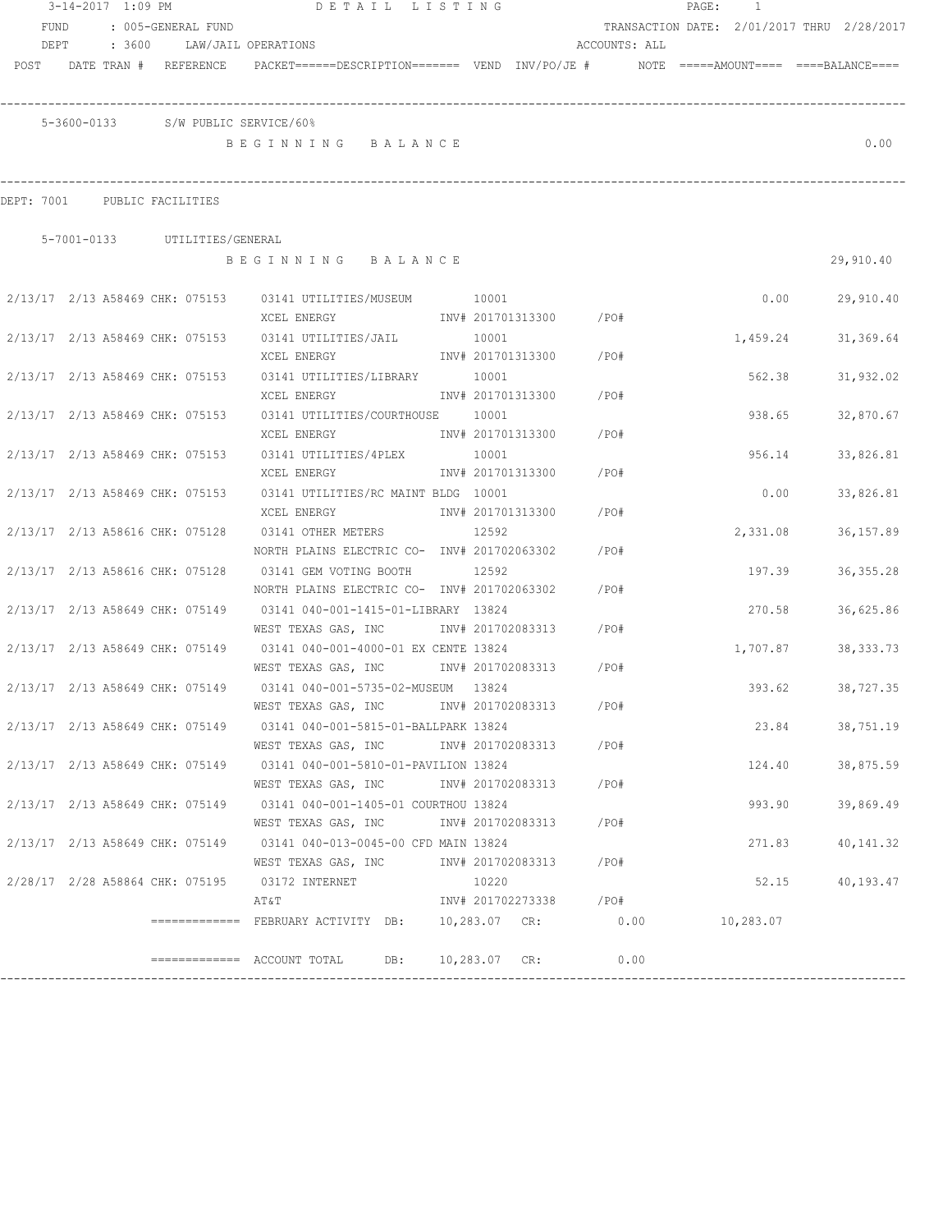|                                 | 3-14-2017 1:09 PM |                               | DETAIL LISTING                                                                            |       |                        |         |                                            | PAGE: | 1        |                  |
|---------------------------------|-------------------|-------------------------------|-------------------------------------------------------------------------------------------|-------|------------------------|---------|--------------------------------------------|-------|----------|------------------|
| <b>FUND</b>                     |                   | : 005-GENERAL FUND            |                                                                                           |       |                        |         | TRANSACTION DATE: 2/01/2017 THRU 2/28/2017 |       |          |                  |
| DEPT                            | : 3600            |                               | LAW/JAIL OPERATIONS                                                                       |       |                        |         | ACCOUNTS: ALL                              |       |          |                  |
|                                 |                   | POST DATE TRAN # REFERENCE    | PACKET======DESCRIPTION======= VEND INV/PO/JE #     NOTE =====AMOUNT====  ====BALANCE==== |       |                        |         |                                            |       |          |                  |
|                                 |                   |                               |                                                                                           |       |                        |         |                                            |       |          |                  |
|                                 |                   |                               |                                                                                           |       |                        |         |                                            |       |          |                  |
|                                 |                   |                               | 5-3600-0133 S/W PUBLIC SERVICE/60%                                                        |       |                        |         |                                            |       |          |                  |
|                                 |                   |                               | BEGINNING BALANCE                                                                         |       |                        |         |                                            |       |          | 0.00             |
|                                 |                   |                               |                                                                                           |       |                        |         |                                            |       |          |                  |
|                                 |                   |                               |                                                                                           |       |                        |         |                                            |       |          |                  |
| DEPT: 7001 PUBLIC FACILITIES    |                   |                               |                                                                                           |       |                        |         |                                            |       |          |                  |
|                                 |                   |                               |                                                                                           |       |                        |         |                                            |       |          |                  |
|                                 |                   | 5-7001-0133 UTILITIES/GENERAL |                                                                                           |       |                        |         |                                            |       |          |                  |
|                                 |                   |                               | BEGINNING BALANCE                                                                         |       |                        |         |                                            |       |          | 29,910.40        |
|                                 |                   |                               |                                                                                           |       |                        |         |                                            |       |          |                  |
|                                 |                   |                               | 2/13/17 2/13 A58469 CHK: 075153 03141 UTILITIES/MUSEUM 10001<br>XCEL ENERGY               |       | INV# 201701313300 /PO# |         |                                            |       | 0.00     | 29,910.40        |
|                                 |                   |                               |                                                                                           |       |                        |         |                                            |       |          |                  |
| 2/13/17 2/13 A58469 CHK: 075153 |                   |                               | 03141 UTILITIES/JAIL                                                                      | 10001 |                        | /PO#    |                                            |       | 1,459.24 | 31,369.64        |
|                                 |                   |                               | XCEL ENERGY                                                                               |       | INV# 201701313300      |         |                                            |       |          |                  |
| 2/13/17 2/13 A58469 CHK: 075153 |                   |                               | 03141 UTILITIES/LIBRARY<br>XCEL ENERGY                                                    | 10001 | INV# 201701313300      |         | /PO#                                       |       | 562.38   | 31,932.02        |
|                                 |                   |                               | 03141 UTILITIES/COURTHOUSE                                                                |       |                        |         |                                            |       | 938.65   |                  |
| 2/13/17 2/13 A58469 CHK: 075153 |                   |                               | XCEL ENERGY                                                                               | 10001 | INV# 201701313300      |         | /PO#                                       |       |          | 32,870.67        |
|                                 |                   |                               |                                                                                           |       |                        |         |                                            |       |          |                  |
| 2/13/17 2/13 A58469 CHK: 075153 |                   |                               | 03141 UTILITIES/4PLEX<br>XCEL ENERGY                                                      | 10001 | INV# 201701313300      |         | /PO#                                       |       | 956.14   | 33,826.81        |
|                                 |                   |                               | 03141 UTILITIES/RC MAINT BLDG 10001                                                       |       |                        |         |                                            |       | 0.00     |                  |
| 2/13/17 2/13 A58469 CHK: 075153 |                   |                               | XCEL ENERGY                                                                               |       | INV# 201701313300      |         | $/$ PO#                                    |       |          | 33,826.81        |
| 2/13/17 2/13 A58616 CHK: 075128 |                   |                               | 03141 OTHER METERS                                                                        | 12592 |                        |         |                                            |       | 2,331.08 |                  |
|                                 |                   |                               | NORTH PLAINS ELECTRIC CO- INV# 201702063302                                               |       |                        |         | /PO#                                       |       |          | 36, 157.89       |
| 2/13/17 2/13 A58616 CHK: 075128 |                   |                               | 03141 GEM VOTING BOOTH                                                                    | 12592 |                        |         |                                            |       | 197.39   | 36, 355.28       |
|                                 |                   |                               | NORTH PLAINS ELECTRIC CO- INV# 201702063302                                               |       |                        |         | $/$ PO#                                    |       |          |                  |
| 2/13/17 2/13 A58649 CHK: 075149 |                   |                               | 03141  040-001-1415-01-LIBRARY  13824                                                     |       |                        |         |                                            |       | 270.58   | 36,625.86        |
|                                 |                   |                               | WEST TEXAS GAS, INC METALL NV# 201702083313                                               |       |                        |         | /PO#                                       |       |          |                  |
| 2/13/17 2/13 A58649 CHK: 075149 |                   |                               | 03141 040-001-4000-01 EX CENTE 13824                                                      |       |                        |         |                                            |       | 1,707.87 | 38, 333. 73      |
|                                 |                   |                               | WEST TEXAS GAS, INC 1NV# 201702083313 / PO#                                               |       |                        |         |                                            |       |          |                  |
| 2/13/17 2/13 A58649 CHK: 075149 |                   |                               | 03141 040-001-5735-02-MUSEUM 13824                                                        |       |                        |         |                                            |       | 393.62   | 38,727.35        |
|                                 |                   |                               | WEST TEXAS GAS, INC 1NV# 201702083313 / PO#                                               |       |                        |         |                                            |       |          |                  |
|                                 |                   |                               | 2/13/17 2/13 A58649 CHK: 075149 03141 040-001-5815-01-BALLPARK 13824                      |       |                        |         |                                            |       |          | 23.84 38,751.19  |
|                                 |                   |                               | WEST TEXAS GAS, INC                                                                       |       | INV# 201702083313 /PO# |         |                                            |       |          |                  |
|                                 |                   |                               | 2/13/17 2/13 A58649 CHK: 075149 03141 040-001-5810-01-PAVILION 13824                      |       |                        |         |                                            |       |          | 124.40 38,875.59 |
|                                 |                   |                               | WEST TEXAS GAS, INC                                                                       |       | INV# 201702083313 /PO# |         |                                            |       |          |                  |
|                                 |                   |                               | 2/13/17 2/13 A58649 CHK: 075149 03141 040-001-1405-01 COURTHOU 13824                      |       |                        |         |                                            |       | 993.90   | 39,869.49        |
|                                 |                   |                               | WEST TEXAS GAS, INC MONTH 201702083313                                                    |       |                        | $/$ PO# |                                            |       |          |                  |
| 2/13/17 2/13 A58649 CHK: 075149 |                   |                               | 03141 040-013-0045-00 CFD MAIN 13824                                                      |       |                        |         |                                            |       | 271.83   | 40,141.32        |
|                                 |                   |                               | WEST TEXAS GAS, INC        INV# 201702083313     /PO#                                     |       |                        |         |                                            |       |          |                  |
|                                 |                   |                               | 2/28/17 2/28 A58864 CHK: 075195 03172 INTERNET                                            | 10220 |                        |         |                                            |       | 52.15    | 40,193.47        |
|                                 |                   |                               | AT&T                                                                                      |       | INV# 201702273338 /PO# |         |                                            |       |          |                  |
|                                 |                   |                               | ============= FEBRUARY ACTIVITY DB: 10,283.07 CR: 0.00 10,283.07                          |       |                        |         |                                            |       |          |                  |
|                                 |                   |                               |                                                                                           |       |                        |         |                                            |       |          |                  |
|                                 |                   |                               | ============ ACCOUNT TOTAL DB: 10,283.07 CR: 0.00                                         |       |                        |         |                                            |       |          |                  |
|                                 |                   |                               |                                                                                           |       |                        |         |                                            |       |          |                  |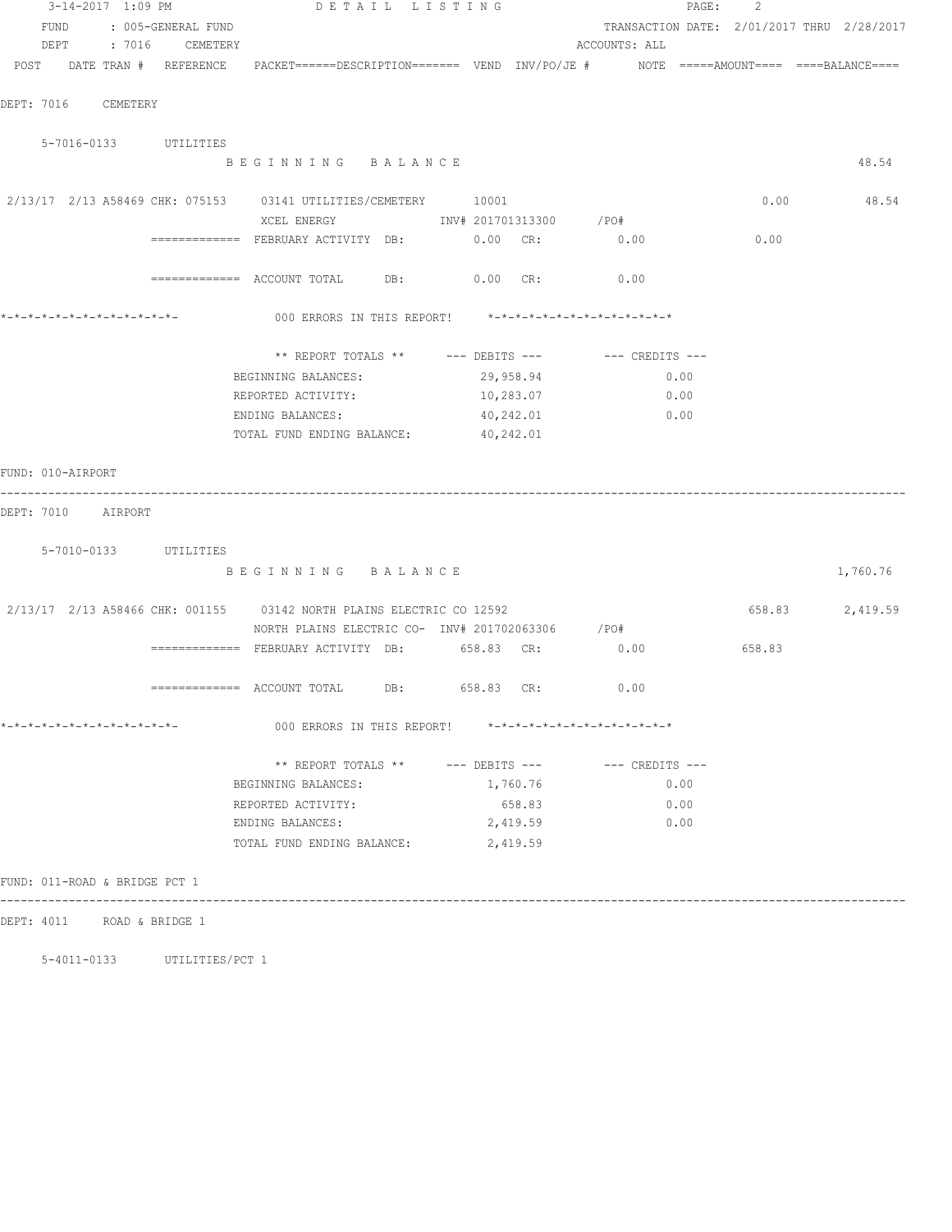| 3-14-2017 1:09 PM             | DETAIL LISTING                                                                                                  |            | PAGE:                                      | 2               |          |
|-------------------------------|-----------------------------------------------------------------------------------------------------------------|------------|--------------------------------------------|-----------------|----------|
| FUND<br>: 005-GENERAL FUND    |                                                                                                                 |            | TRANSACTION DATE: 2/01/2017 THRU 2/28/2017 |                 |          |
| DEPT : 7016 CEMETERY          |                                                                                                                 |            | ACCOUNTS: ALL                              |                 |          |
|                               | POST DATE TRAN # REFERENCE PACKET======DESCRIPTION======= VEND INV/PO/JE # NOTE =====AMOUNT==== ====BALANCE==== |            |                                            |                 |          |
|                               |                                                                                                                 |            |                                            |                 |          |
| DEPT: 7016 CEMETERY           |                                                                                                                 |            |                                            |                 |          |
|                               |                                                                                                                 |            |                                            |                 |          |
| 5-7016-0133 UTILITIES         |                                                                                                                 |            |                                            |                 |          |
|                               | BEGINNING BALANCE                                                                                               |            |                                            |                 | 48.54    |
|                               | 2/13/17 2/13 A58469 CHK: 075153 03141 UTILITIES/CEMETERY 10001                                                  |            |                                            | 0.00            | 48.54    |
|                               | XCEL ENERGY 1NV# 201701313300 / PO#                                                                             |            |                                            |                 |          |
|                               | ============ FEBRUARY ACTIVITY DB: 0.00 CR: 0.00                                                                |            |                                            | 0.00            |          |
|                               |                                                                                                                 |            |                                            |                 |          |
|                               | ============= ACCOUNT TOTAL DB: 0.00 CR:                                                                        |            | 0.00                                       |                 |          |
|                               |                                                                                                                 |            |                                            |                 |          |
|                               | 000 ERRORS IN THIS REPORT! *-*-*-*-*-*-*-*-*-*-*-*-*-*-                                                         |            |                                            |                 |          |
|                               |                                                                                                                 |            |                                            |                 |          |
|                               | ** REPORT TOTALS ** --- DEBITS --- -- CREDITS ---                                                               |            |                                            |                 |          |
|                               | BEGINNING BALANCES:                                                                                             | 29,958.94  | 0.00                                       |                 |          |
|                               | REPORTED ACTIVITY:                                                                                              | 10,283.07  | 0.00                                       |                 |          |
|                               | ENDING BALANCES:                                                                                                | 40,242.01  | 0.00                                       |                 |          |
|                               | TOTAL FUND ENDING BALANCE:                                                                                      | 40,242.01  |                                            |                 |          |
| FUND: 010-AIRPORT             |                                                                                                                 |            |                                            |                 |          |
| DEPT: 7010 AIRPORT            |                                                                                                                 |            |                                            |                 |          |
|                               |                                                                                                                 |            |                                            |                 |          |
| 5-7010-0133 UTILITIES         |                                                                                                                 |            |                                            |                 |          |
|                               | BEGINNING BALANCE                                                                                               |            |                                            |                 | 1,760.76 |
|                               |                                                                                                                 |            |                                            |                 |          |
|                               | 2/13/17 2/13 A58466 CHK: 001155 03142 NORTH PLAINS ELECTRIC CO 12592                                            |            |                                            | 658.83 2,419.59 |          |
|                               | NORTH PLAINS ELECTRIC CO- INV# 201702063306 / PO#                                                               |            |                                            |                 |          |
|                               | ============= FEBRUARY ACTIVITY DB: 658.83 CR:                                                                  |            | 0.00                                       | 658.83          |          |
|                               |                                                                                                                 |            |                                            |                 |          |
|                               | ============= ACCOUNT TOTAL DB:                                                                                 | 658.83 CR: | 0.00                                       |                 |          |
|                               | 000 ERRORS IN THIS REPORT! *-*-*-*-*-*-*-*-*-*-*-*-*-*-                                                         |            |                                            |                 |          |
|                               |                                                                                                                 |            |                                            |                 |          |
|                               | ** REPORT TOTALS ** --- DEBITS --- -- -- CREDITS ---                                                            |            |                                            |                 |          |
|                               | BEGINNING BALANCES:                                                                                             | 1,760.76   | 0.00                                       |                 |          |
|                               | REPORTED ACTIVITY:                                                                                              | 658.83     | 0.00                                       |                 |          |
|                               | ENDING BALANCES:                                                                                                | 2,419.59   | 0.00                                       |                 |          |
|                               | TOTAL FUND ENDING BALANCE:                                                                                      | 2,419.59   |                                            |                 |          |
|                               |                                                                                                                 |            |                                            |                 |          |
| FUND: 011-ROAD & BRIDGE PCT 1 |                                                                                                                 |            |                                            |                 |          |
|                               |                                                                                                                 |            |                                            |                 |          |
| DEPT: 4011 ROAD & BRIDGE 1    |                                                                                                                 |            |                                            |                 |          |

5-4011-0133 UTILITIES/PCT 1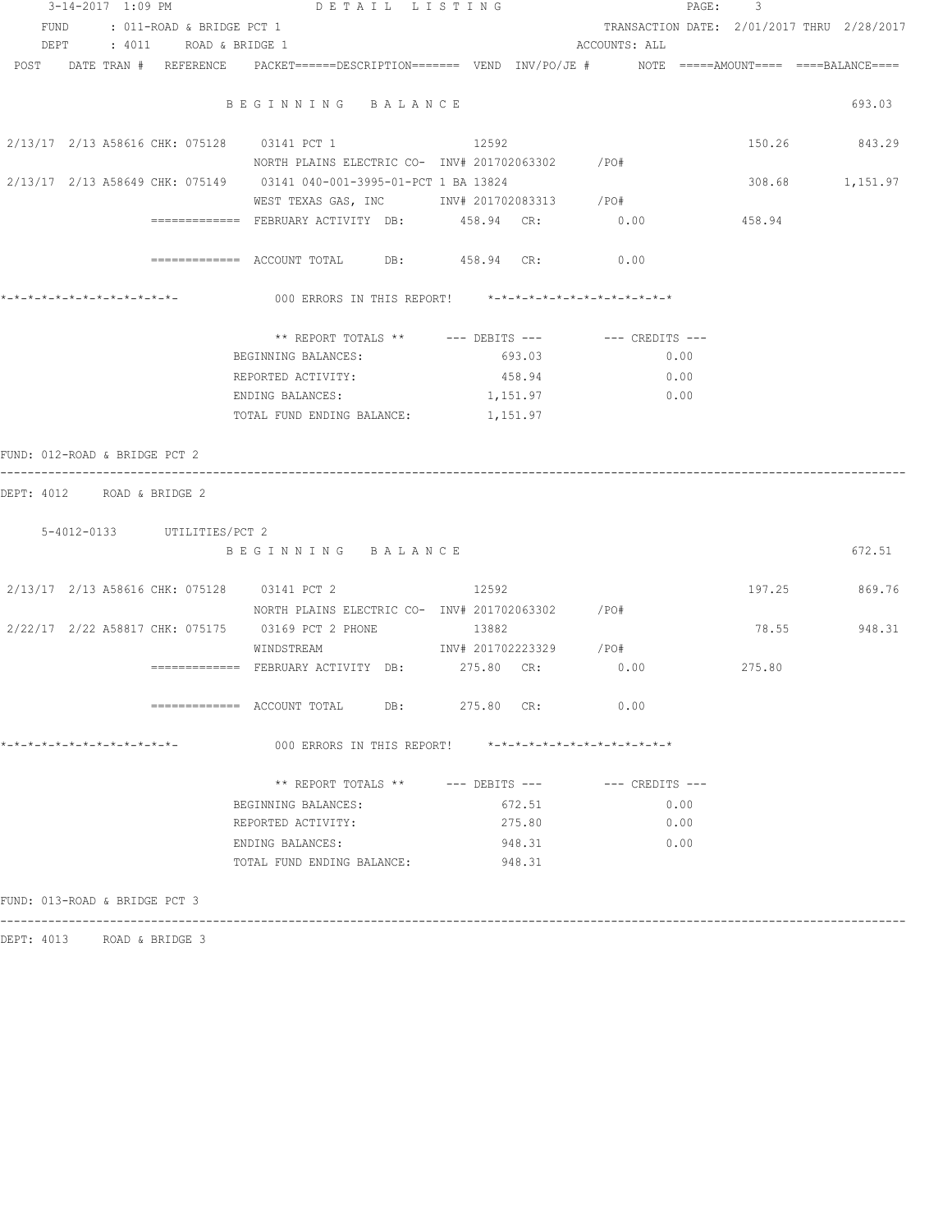|                               | 3-14-2017 1:09 PM           |  | DETAIL LISTING                                                                                                      |       |          |               |      | PAGE:<br>-3 |                                            |
|-------------------------------|-----------------------------|--|---------------------------------------------------------------------------------------------------------------------|-------|----------|---------------|------|-------------|--------------------------------------------|
| FUND                          |                             |  | : 011-ROAD & BRIDGE PCT 1                                                                                           |       |          |               |      |             | TRANSACTION DATE: 2/01/2017 THRU 2/28/2017 |
|                               |                             |  | DEPT : 4011 ROAD & BRIDGE 1                                                                                         |       |          | ACCOUNTS: ALL |      |             |                                            |
|                               |                             |  | POST DATE TRAN # REFERENCE PACKET======DESCRIPTION======= VEND INV/PO/JE # NOTE =====AMOUNT==== ====BALANCE====     |       |          |               |      |             |                                            |
|                               |                             |  | BEGINNING BALANCE                                                                                                   |       |          |               |      |             | 693.03                                     |
|                               |                             |  | 2/13/17  2/13  A58616  CHK:  075128  03141  PCT  1<br>NORTH PLAINS ELECTRIC CO- INV# 201702063302 / PO#             | 12592 |          |               |      |             | 150.26 843.29                              |
|                               |                             |  | 2/13/17 2/13 A58649 CHK: 075149 03141 040-001-3995-01-PCT 1 BA 13824<br>WEST TEXAS GAS, INC MOV# 201702083313 / PO# |       |          |               |      |             | 308.68 1,151.97                            |
|                               |                             |  |                                                                                                                     |       |          |               |      |             |                                            |
|                               |                             |  | ============ ACCOUNT TOTAL DB: 458.94 CR: 0.00                                                                      |       |          |               |      |             |                                            |
| *-*-*-*-*-*-*-*-*-*-*-*-*-    |                             |  | 000 ERRORS IN THIS REPORT! *-*-*-*-*-*-*-*-*-*-*-*-*-*-                                                             |       |          |               |      |             |                                            |
|                               |                             |  | ** REPORT TOTALS ** --- DEBITS --- -- -- CREDITS ---                                                                |       |          |               |      |             |                                            |
|                               |                             |  | BEGINNING BALANCES:                                                                                                 |       | 693.03   |               | 0.00 |             |                                            |
|                               |                             |  | REPORTED ACTIVITY:                                                                                                  |       | 458.94   |               | 0.00 |             |                                            |
|                               |                             |  | ENDING BALANCES:                                                                                                    |       | 1,151.97 |               | 0.00 |             |                                            |
|                               |                             |  | TOTAL FUND ENDING BALANCE: 1,151.97                                                                                 |       |          |               |      |             |                                            |
| FUND: 012-ROAD & BRIDGE PCT 2 |                             |  |                                                                                                                     |       |          |               |      |             |                                            |
| DEPT: 4012 ROAD & BRIDGE 2    | ----------------            |  |                                                                                                                     |       |          |               |      |             |                                            |
|                               | 5-4012-0133 UTILITIES/PCT 2 |  |                                                                                                                     |       |          |               |      |             |                                            |
|                               |                             |  | BEGINNING BALANCE                                                                                                   |       |          |               |      |             | 672.51                                     |
|                               |                             |  | 2/13/17  2/13  A58616  CHK:  075128  03141  PCT  2                                                                  | 12592 |          |               |      | 197.25      | 869.76                                     |
|                               |                             |  | NORTH PLAINS ELECTRIC CO- INV# 201702063302 / PO#                                                                   |       |          |               |      |             |                                            |
|                               |                             |  | 2/22/17 2/22 A58817 CHK: 075175 03169 PCT 2 PHONE 13882                                                             |       |          |               |      | 78.55       | 948.31                                     |
|                               |                             |  | WINDSTREAM 1NV# 201702223329 /PO#                                                                                   |       |          |               |      |             |                                            |
|                               |                             |  | ============ FEBRUARY ACTIVITY DB: 275.80 CR: 0.00                                                                  |       |          |               |      | 275.80      |                                            |
|                               |                             |  | ============= ACCOUNT TOTAL DB: 275.80 CR:                                                                          |       |          |               | 0.00 |             |                                            |
| *-*-*-*-*-*-*-*-*-*-*-*-*-*-  |                             |  | 000 ERRORS IN THIS REPORT! *-*-*-*-*-*-*-*-*-*-*-*-*-*-                                                             |       |          |               |      |             |                                            |
|                               |                             |  | ** REPORT TOTALS ** --- DEBITS --- -- -- CREDITS ---                                                                |       |          |               |      |             |                                            |
|                               |                             |  | BEGINNING BALANCES:                                                                                                 |       | 672.51   |               | 0.00 |             |                                            |
|                               |                             |  | REPORTED ACTIVITY:                                                                                                  |       | 275.80   |               | 0.00 |             |                                            |
|                               |                             |  | ENDING BALANCES:                                                                                                    |       | 948.31   |               | 0.00 |             |                                            |
|                               |                             |  | TOTAL FUND ENDING BALANCE:                                                                                          |       | 948.31   |               |      |             |                                            |
| FUND: 013-ROAD & BRIDGE PCT 3 |                             |  |                                                                                                                     |       |          |               |      |             |                                            |

------------------------------------------------------------------------------------------------------------------------------------

DEPT: 4013 ROAD & BRIDGE 3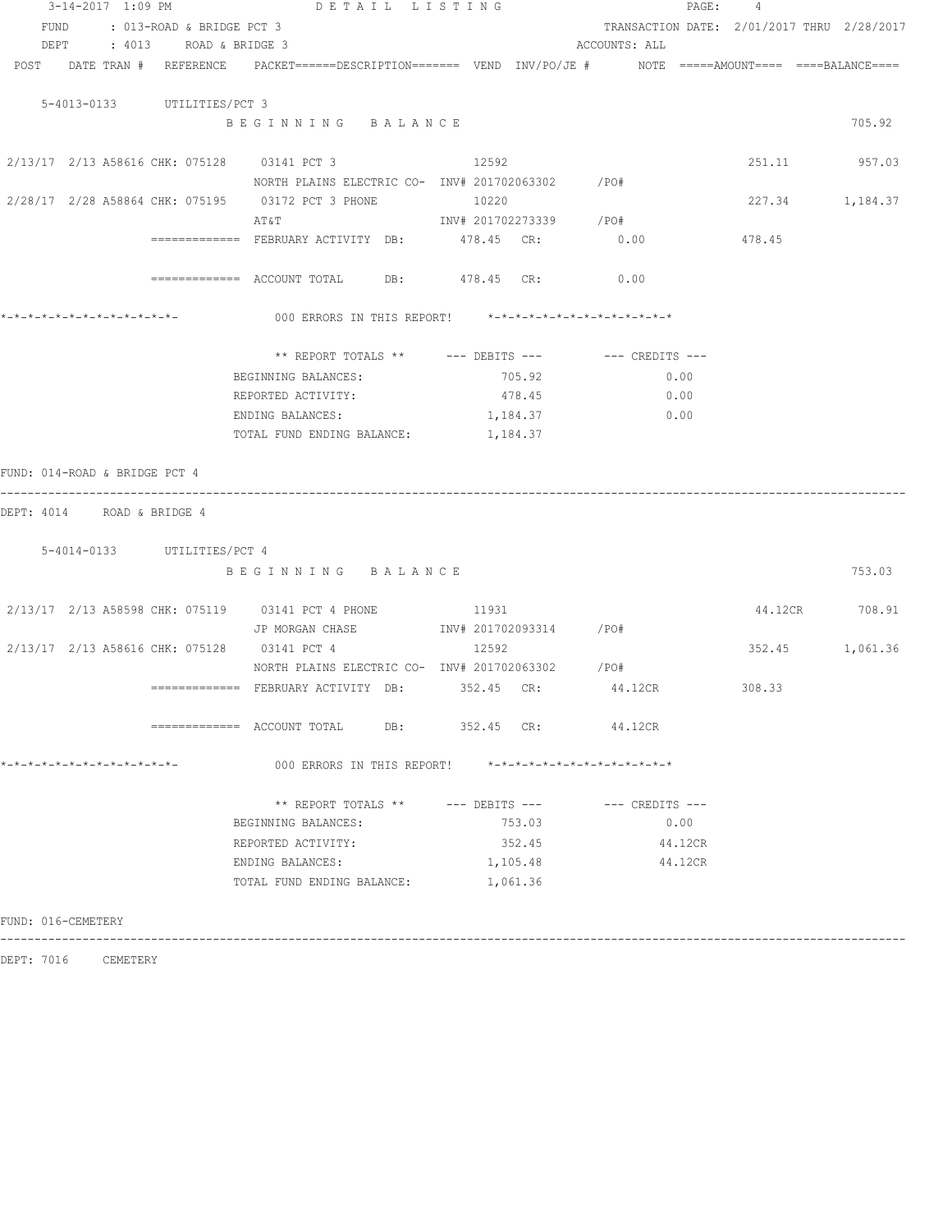|                    | 3-14-2017 1:09 PM             |                             | DETAIL LISTING                                                                            |                         |                                            | PAGE: 4         |        |
|--------------------|-------------------------------|-----------------------------|-------------------------------------------------------------------------------------------|-------------------------|--------------------------------------------|-----------------|--------|
| FUND               |                               | : 013-ROAD & BRIDGE PCT 3   |                                                                                           |                         | TRANSACTION DATE: 2/01/2017 THRU 2/28/2017 |                 |        |
|                    |                               | DEPT : 4013 ROAD & BRIDGE 3 |                                                                                           |                         | ACCOUNTS: ALL                              |                 |        |
|                    |                               | POST DATE TRAN # REFERENCE  | PACKET======DESCRIPTION======= VEND INV/PO/JE #     NOTE =====AMOUNT====  ====BALANCE==== |                         |                                            |                 |        |
|                    |                               |                             |                                                                                           |                         |                                            |                 |        |
|                    |                               | 5-4013-0133 UTILITIES/PCT 3 |                                                                                           |                         |                                            |                 |        |
|                    |                               |                             | BEGINNING BALANCE                                                                         |                         |                                            |                 | 705.92 |
|                    |                               |                             |                                                                                           |                         |                                            |                 |        |
|                    |                               |                             | 2/13/17  2/13  A58616  CHK:  075128   03141  PCT  3                                       | 12592                   |                                            | 251.11 957.03   |        |
|                    |                               |                             | NORTH PLAINS ELECTRIC CO- INV# 201702063302 / PO#                                         |                         |                                            |                 |        |
|                    |                               |                             | 2/28/17  2/28  A58864  CHK: 075195  03172  PCT 3  PHONE                                   | 10220                   |                                            | 227.34 1,184.37 |        |
|                    |                               |                             | $AT\&T$                                                                                   | INV# 201702273339 / PO# |                                            |                 |        |
|                    |                               |                             | ============= FEBRUARY ACTIVITY DB: 478.45 CR: 0.00                                       |                         |                                            | 478.45          |        |
|                    |                               |                             |                                                                                           |                         |                                            |                 |        |
|                    |                               |                             | ============ ACCOUNT TOTAL DB: 478.45 CR: 0.00                                            |                         |                                            |                 |        |
|                    |                               |                             |                                                                                           |                         |                                            |                 |        |
|                    |                               |                             | 000 ERRORS IN THIS REPORT! *-*-*-*-*-*-*-*-*-*-*-*-*-*-                                   |                         |                                            |                 |        |
|                    |                               |                             |                                                                                           |                         |                                            |                 |        |
|                    |                               |                             | ** REPORT TOTALS ** --- DEBITS --- -- CREDITS ---                                         |                         |                                            |                 |        |
|                    |                               |                             | BEGINNING BALANCES:                                                                       | 705.92                  | 0.00                                       |                 |        |
|                    |                               |                             | REPORTED ACTIVITY:                                                                        | 478.45                  | 0.00                                       |                 |        |
|                    |                               |                             | ENDING BALANCES:                                                                          | 1,184.37                | 0.00                                       |                 |        |
|                    |                               |                             | TOTAL FUND ENDING BALANCE:                                                                | 1,184.37                |                                            |                 |        |
|                    |                               |                             |                                                                                           |                         |                                            |                 |        |
|                    | FUND: 014-ROAD & BRIDGE PCT 4 |                             |                                                                                           |                         |                                            |                 |        |
|                    |                               |                             |                                                                                           |                         |                                            |                 |        |
|                    | DEPT: 4014 ROAD & BRIDGE 4    |                             |                                                                                           |                         |                                            |                 |        |
|                    |                               |                             |                                                                                           |                         |                                            |                 |        |
|                    |                               | 5-4014-0133 UTILITIES/PCT 4 |                                                                                           |                         |                                            |                 |        |
|                    |                               |                             | BEGINNING BALANCE                                                                         |                         |                                            |                 | 753.03 |
|                    |                               |                             |                                                                                           |                         |                                            |                 |        |
|                    |                               |                             | 2/13/17  2/13  A58598  CHK: 075119  03141  PCT  4  PHONE  11931                           |                         |                                            | 44.12CR 708.91  |        |
|                    |                               |                             | JP MORGAN CHASE 1NV# 201702093314 /PO#                                                    |                         |                                            |                 |        |
|                    |                               |                             | 2/13/17 2/13 A58616 CHK: 075128 03141 PCT 4                                               | 12592                   |                                            | 352.45 1,061.36 |        |
|                    |                               |                             | NORTH PLAINS ELECTRIC CO- INV# 201702063302 / PO#                                         |                         |                                            |                 |        |
|                    |                               |                             | ============= FEBRUARY ACTIVITY DB: 352.45 CR:                                            |                         | 44.12CR                                    | 308.33          |        |
|                    |                               |                             |                                                                                           |                         |                                            |                 |        |
|                    |                               |                             | ============ ACCOUNT TOTAL DB: 352.45 CR: 44.12CR                                         |                         |                                            |                 |        |
|                    |                               |                             |                                                                                           |                         |                                            |                 |        |
|                    |                               |                             | 000 ERRORS IN THIS REPORT! *-*-*-*-*-*-*-*-*-*-*-*-*-*-                                   |                         |                                            |                 |        |
|                    |                               |                             |                                                                                           |                         |                                            |                 |        |
|                    |                               |                             | ** REPORT TOTALS ** --- DEBITS --- -- CREDITS ---                                         |                         |                                            |                 |        |
|                    |                               |                             | BEGINNING BALANCES:                                                                       | 753.03                  | 0.00                                       |                 |        |
|                    |                               |                             | REPORTED ACTIVITY:                                                                        | 352.45                  | 44.12CR                                    |                 |        |
|                    |                               |                             | ENDING BALANCES:                                                                          | 1,105.48                | 44.12CR                                    |                 |        |
|                    |                               |                             | TOTAL FUND ENDING BALANCE:                                                                | 1,061.36                |                                            |                 |        |
|                    |                               |                             |                                                                                           |                         |                                            |                 |        |
| FUND: 016-CEMETERY |                               |                             |                                                                                           |                         |                                            |                 |        |
|                    |                               |                             |                                                                                           |                         |                                            |                 |        |

DEPT: 7016 CEMETERY